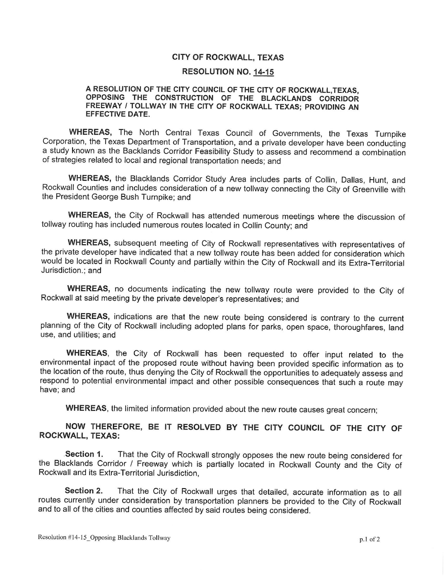## CITY OF ROCKWALL, TEXAS

## RESOLUTION NO. 14 -15

## A RESOLUTION OF THE CITY COUNCIL OF THE CITY OF ROCKWALL,TEXAS, OPPOSING THE CONSTRUCTION OF THE BLACKLANDS CORRIDOR FREEWAY / TOLLWAY IN THE CITY OF ROCKWALL TEXAS; PROVIDING AN EFFECTIVE DATE.

WHEREAS, The North Central Texas Council of Governments, the Texas Turnpike Corporation, the Texas Department of Transportation, and a private developer have been conducting a study known as the Backlands Corridor Feasibility Study to assess and recommend a combination of strategies related to local and regional transportation needs; and

WHEREAS, the Blacklands Corridor Study Area includes parts of Collin, Dallas, Hunt, and Rockwall Counties and includes consideration of a new tollway connecting the City of Greenville with the President George Bush Turnpike; and

WHEREAS, the City of Rockwall has attended numerous meetings where the discussion of tollway routing has included numerous routes located in Collin County; and

WHEREAS, subsequent meeting of City of Rockwall representatives with representatives of the private developer have indicated that a new tollway route has been added for consideration which would be located in Rockwall County and partially within the City of Rockwall and its Extra-Territorial Jurisdiction.; and

WHEREAS, no documents indicating the new tollway route were provided to the City of Rockwall at said meeting by the private developer's representatives; and

WHEREAS, indications are that the new route being considered is contrary to the current planning of the City of Rockwall including adopted plans for parks, open space, thoroughfares, land use, and utilities; and

WHEREAS, the City of Rockwall has been requested to offer input related to the environmental inpact of the proposed route without having been provided specific information as to the location of the route, thus denying the City of Rockwall the opportunities to adequately assess and respond to potential environmental impact and other possible consequences that such a route may have; and

WHEREAS, the limited information provided about the new route causes great concern;

## NOW THEREFORE, BE IT RESOLVED BY THE CITY COUNCIL OF THE CITY OF ROCKWALL, TEXAS:

Section 1. That the City of Rockwall strongly opposes the new route being considered for the Blacklands Corridor / Freeway which is partially located in Rockwall County and the City of Rockwall and its Extra-Territorial Jurisdiction,

Section 2. That the City of Rockwall urges that detailed, accurate information as to all routes currently under consideration by transportation planners be provided to the City of Rockwall and to all of the cities and counties affected by said routes being considered.